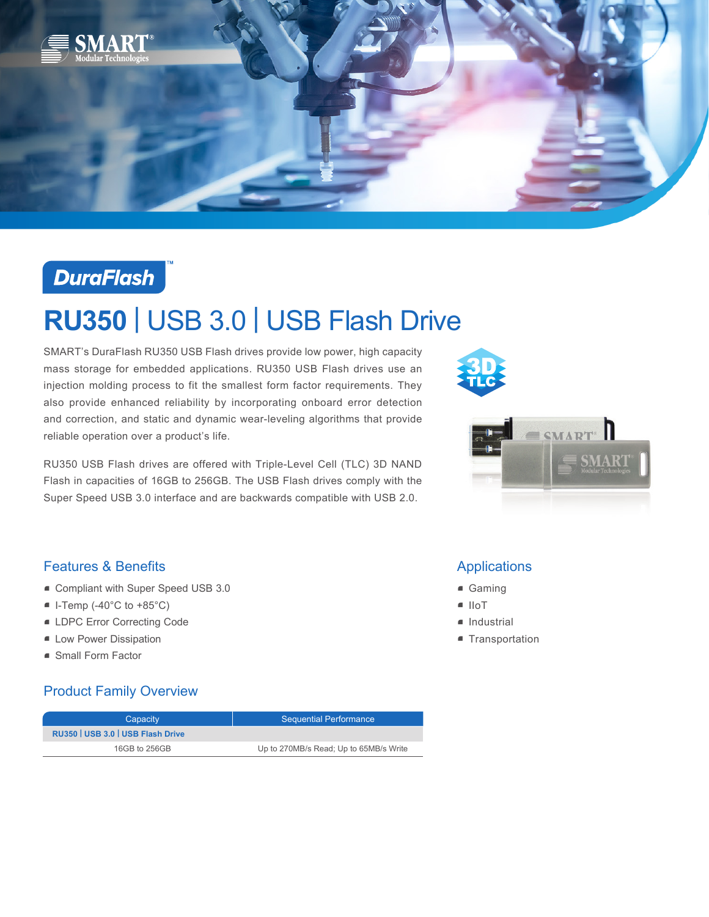



# **RU350** | USB 3.0 | USB Flash Drive

SMART's DuraFlash RU350 USB Flash drives provide low power, high capacity mass storage for embedded applications. RU350 USB Flash drives use an injection molding process to fit the smallest form factor requirements. They also provide enhanced reliability by incorporating onboard error detection and correction, and static and dynamic wear-leveling algorithms that provide reliable operation over a product's life.

RU350 USB Flash drives are offered with Triple-Level Cell (TLC) 3D NAND Flash in capacities of 16GB to 256GB. The USB Flash drives comply with the Super Speed USB 3.0 interface and are backwards compatible with USB 2.0.





# Features & Benefits

- Compliant with Super Speed USB 3.0
- $\blacksquare$  I-Temp (-40°C to +85°C)
- LDPC Error Correcting Code
- **E** Low Power Dissipation
- Small Form Factor

## Product Family Overview

| Capacity                          | <b>Sequential Performance</b>          |
|-----------------------------------|----------------------------------------|
| RU350   USB 3.0   USB Flash Drive |                                        |
| 16GB to 256GB                     | Up to 270MB/s Read; Up to 65MB/s Write |

## Applications

- Gaming
- IIoT
- Industrial
- **Transportation**